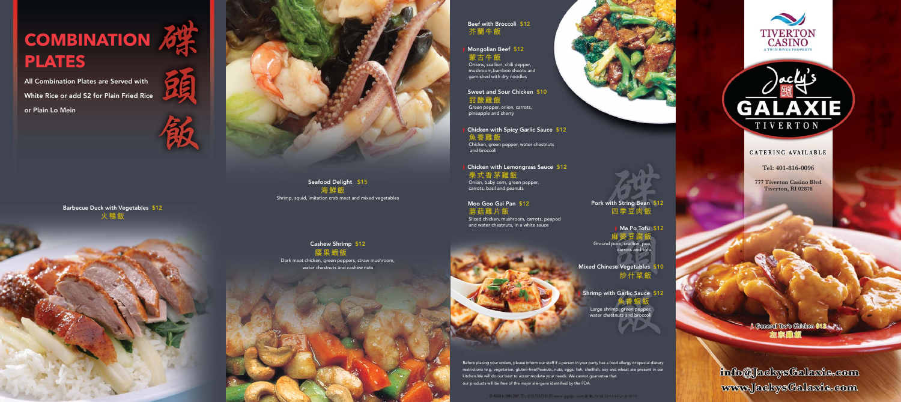Tiverton

Jacky's Galaxie

Tel:

Tiverton, RI 02878 ww.jackystalaxie.com

777 Tiverton Casino Blvd, 1977 Tiverton Casino Blvd, 1977 Tiverton Casino Blvd, 1977 Tiverton Casino Blvd, 197

All Combination Plates are Served with White Rice or add \$2 for Plain Fried Rice

## **COMBINATION 6 PLATES**

or Plain Lo Mein



Seafood Delight \$15 **海鮮飯** Shrimp, squid, imitation crab meat and mixed vegetables

Cashew Shrimp \$12 **腰果蝦飯** Dark meat chicken, green peppers, straw mushroom, Mongolian Beef \$12 **蒙古牛飯**

water chestnuts and cashew nuts

Green pepper, onion, carrots, pineapple and cherry

**Tel: 401-816-0096**

**777 Tiverton Casino Blvd Tiverton, RI 02878**

Beef with Broccoli \$12 **芥蘭牛飯**

Onions, scallion, chili pepper, mushroom,bamboo shoots and garnished with dry noodles

Sweet and Sour Chicken \$10 **甜酸雞飯**

3 Chicken with Spicy Garlic Sauce \$12 **魚香雞飯** Chicken, green pepper, water chestnuts and broccoli

> Ma Po Tofu \$12 **麻婆豆腐飯** Ground pork, scallion, pea, carrots and tofu

Shrimp with Garlic Sauce \$12 **魚香蝦飯** Large shrimp, green pepper, water chestnuts and broccoli

> **1 General Too's Children \$12** 定宗翻领

info@JackysGalaxie.com www.JackysGalaxie.com

3 Chicken with Lemongrass Sauce \$12 **泰式香茅雞飯** Onion, baby corn, green pepper, carrots, basil and peanuts

Moo Goo Gai Pan \$12 蘑菇**雞片飯** Sliced chicken, mushroom, carrots, peapod

and water chestnuts, in a white sauce

Before placing your orders, please inform our staff if a person in your party has a food allergy or special dietary restrictions (e.g, vegetarian, gluten-free)Peanuts, nuts, eggs, fish, shellfish, soy and wheat are present in our kitchen.We will do our best to accommodate your needs. We cannot guarantee that our products will be free of the major allergens identified by the FDA.



Barbecue Duck with Vegetables \$12 **火鴨飯**







## CATERING AVAILABLE

Pork with String Bean \$12 **四季豆肉飯**

Mixed Chinese Vegetables \$10 **炒什菜飯**